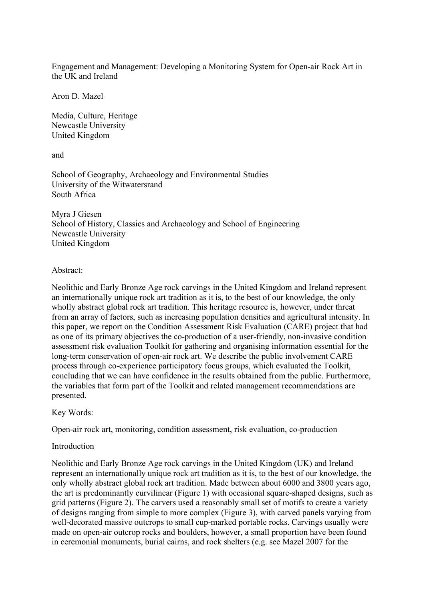Engagement and Management: Developing a Monitoring System for Open-air Rock Art in the UK and Ireland

Aron D. Mazel

Media, Culture, Heritage Newcastle University United Kingdom

and

School of Geography, Archaeology and Environmental Studies University of the Witwatersrand South Africa

Myra J Giesen School of History, Classics and Archaeology and School of Engineering Newcastle University United Kingdom

Abstract:

Neolithic and Early Bronze Age rock carvings in the United Kingdom and Ireland represent an internationally unique rock art tradition as it is, to the best of our knowledge, the only wholly abstract global rock art tradition. This heritage resource is, however, under threat from an array of factors, such as increasing population densities and agricultural intensity. In this paper, we report on the Condition Assessment Risk Evaluation (CARE) project that had as one of its primary objectives the co-production of a user-friendly, non-invasive condition assessment risk evaluation Toolkit for gathering and organising information essential for the long-term conservation of open-air rock art. We describe the public involvement CARE process through co-experience participatory focus groups, which evaluated the Toolkit, concluding that we can have confidence in the results obtained from the public. Furthermore, the variables that form part of the Toolkit and related management recommendations are presented.

Key Words:

Open-air rock art, monitoring, condition assessment, risk evaluation, co-production

# Introduction

Neolithic and Early Bronze Age rock carvings in the United Kingdom (UK) and Ireland represent an internationally unique rock art tradition as it is, to the best of our knowledge, the only wholly abstract global rock art tradition. Made between about 6000 and 3800 years ago, the art is predominantly curvilinear (Figure 1) with occasional square-shaped designs, such as grid patterns (Figure 2). The carvers used a reasonably small set of motifs to create a variety of designs ranging from simple to more complex (Figure 3), with carved panels varying from well-decorated massive outcrops to small cup-marked portable rocks. Carvings usually were made on open-air outcrop rocks and boulders, however, a small proportion have been found in ceremonial monuments, burial cairns, and rock shelters (e.g. see Mazel 2007 for the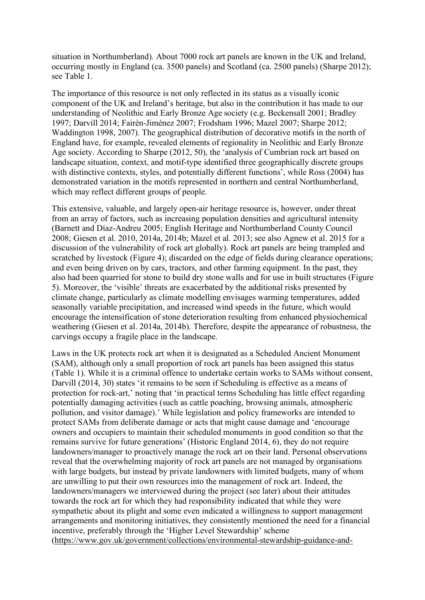situation in Northumberland). About 7000 rock art panels are known in the UK and Ireland, occurring mostly in England (ca. 3500 panels) and Scotland (ca. 2500 panels) (Sharpe 2012); see Table 1.

The importance of this resource is not only reflected in its status as a visually iconic component of the UK and Ireland's heritage, but also in the contribution it has made to our understanding of Neolithic and Early Bronze Age society (e.g. Beckensall 2001; Bradley 1997; Darvill 2014; Fairén-Jiménez 2007; Frodsham 1996; Mazel 2007; Sharpe 2012; Waddington 1998, 2007). The geographical distribution of decorative motifs in the north of England have, for example, revealed elements of regionality in Neolithic and Early Bronze Age society. According to Sharpe (2012, 50), the 'analysis of Cumbrian rock art based on landscape situation, context, and motif-type identified three geographically discrete groups with distinctive contexts, styles, and potentially different functions', while Ross (2004) has demonstrated variation in the motifs represented in northern and central Northumberland, which may reflect different groups of people.

This extensive, valuable, and largely open-air heritage resource is, however, under threat from an array of factors, such as increasing population densities and agricultural intensity (Barnett and Díaz-Andreu 2005; English Heritage and Northumberland County Council 2008; Giesen et al. 2010, 2014a, 2014b; Mazel et al. 2013; see also Agnew et al. 2015 for a discussion of the vulnerability of rock art globally). Rock art panels are being trampled and scratched by livestock (Figure 4); discarded on the edge of fields during clearance operations; and even being driven on by cars, tractors, and other farming equipment. In the past, they also had been quarried for stone to build dry stone walls and for use in built structures (Figure 5). Moreover, the 'visible' threats are exacerbated by the additional risks presented by climate change, particularly as climate modelling envisages warming temperatures, added seasonally variable precipitation, and increased wind speeds in the future, which would encourage the intensification of stone deterioration resulting from enhanced physiochemical weathering (Giesen et al. 2014a, 2014b). Therefore, despite the appearance of robustness, the carvings occupy a fragile place in the landscape.

Laws in the UK protects rock art when it is designated as a Scheduled Ancient Monument (SAM), although only a small proportion of rock art panels has been assigned this status (Table 1). While it is a criminal offence to undertake certain works to SAMs without consent, Darvill (2014, 30) states 'it remains to be seen if Scheduling is effective as a means of protection for rock-art,' noting that 'in practical terms Scheduling has little effect regarding potentially damaging activities (such as cattle poaching, browsing animals, atmospheric pollution, and visitor damage).' While legislation and policy frameworks are intended to protect SAMs from deliberate damage or acts that might cause damage and 'encourage owners and occupiers to maintain their scheduled monuments in good condition so that the remains survive for future generations' (Historic England 2014, 6), they do not require landowners/manager to proactively manage the rock art on their land. Personal observations reveal that the overwhelming majority of rock art panels are not managed by organisations with large budgets, but instead by private landowners with limited budgets, many of whom are unwilling to put their own resources into the management of rock art. Indeed, the landowners/managers we interviewed during the project (see later) about their attitudes towards the rock art for which they had responsibility indicated that while they were sympathetic about its plight and some even indicated a willingness to support management arrangements and monitoring initiatives, they consistently mentioned the need for a financial incentive, preferably through the 'Higher Level Stewardship' scheme (https://www.gov.uk/government/collections/environmental-stewardship-guidance-and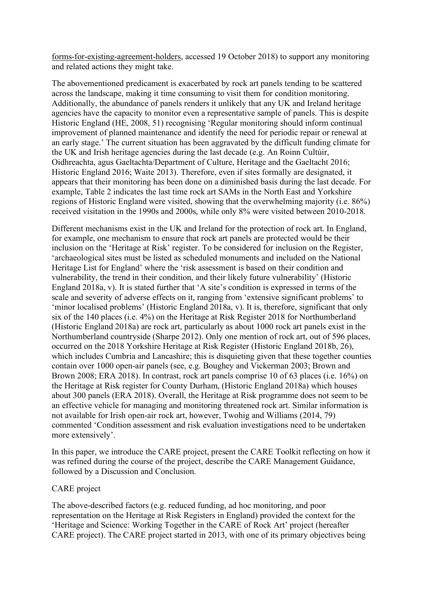forms-for-existing-agreement-holders, accessed 19 October 2018) to support any monitoring and related actions they might take.

The abovementioned predicament is exacerbated by rock art panels tending to be scattered across the landscape, making it time consuming to visit them for condition monitoring. Additionally, the abundance of panels renders it unlikely that any UK and Ireland heritage agencies have the capacity to monitor even a representative sample of panels. This is despite Historic England (HE, 2008, 51) recognising 'Regular monitoring should inform continual improvement of planned maintenance and identify the need for periodic repair or renewal at an early stage.' The current situation has been aggravated by the difficult funding climate for the UK and Irish heritage agencies during the last decade (e.g. An Roinn Cultúir, Oidhreachta, agus Gaeltachta/Department of Culture, Heritage and the Gaeltacht 2016; Historic England 2016; Waite 2013). Therefore, even if sites formally are designated, it appears that their monitoring has been done on a diminished basis during the last decade. For example, Table 2 indicates the last time rock art SAMs in the North East and Yorkshire regions of Historic England were visited, showing that the overwhelming majority (i.e. 86%) received visitation in the 1990s and 2000s, while only 8% were visited between 2010-2018.

Different mechanisms exist in the UK and Ireland for the protection of rock art. In England, for example, one mechanism to ensure that rock art panels are protected would be their inclusion on the 'Heritage at Risk' register. To be considered for inclusion on the Register, 'archaeological sites must be listed as scheduled monuments and included on the National Heritage List for England' where the 'risk assessment is based on their condition and vulnerability, the trend in their condition, and their likely future vulnerability' (Historic England 2018a, v). It is stated further that 'A site's condition is expressed in terms of the scale and severity of adverse effects on it, ranging from 'extensive significant problems' to 'minor localised problems' (Historic England 2018a, v). It is, therefore, significant that only six of the 140 places (i.e. 4%) on the Heritage at Risk Register 2018 for Northumberland (Historic England 2018a) are rock art, particularly as about 1000 rock art panels exist in the Northumberland countryside (Sharpe 2012). Only one mention of rock art, out of 596 places, occurred on the 2018 Yorkshire Heritage at Risk Register (Historic England 2018b, 26), which includes Cumbria and Lancashire; this is disquieting given that these together counties contain over 1000 open-air panels (see, e.g. Boughey and Vickerman 2003; Brown and Brown 2008; ERA 2018). In contrast, rock art panels comprise 10 of 63 places (i.e. 16%) on the Heritage at Risk register for County Durham, (Historic England 2018a) which houses about 300 panels (ERA 2018). Overall, the Heritage at Risk programme does not seem to be an effective vehicle for managing and monitoring threatened rock art. Similar information is not available for Irish open-air rock art, however, Twohig and Williams (2014, 79) commented 'Condition assessment and risk evaluation investigations need to be undertaken more extensively'.

In this paper, we introduce the CARE project, present the CARE Toolkit reflecting on how it was refined during the course of the project, describe the CARE Management Guidance, followed by a Discussion and Conclusion.

# CARE project

The above-described factors (e.g. reduced funding, ad hoc monitoring, and poor representation on the Heritage at Risk Registers in England) provided the context for the 'Heritage and Science: Working Together in the CARE of Rock Art' project (hereafter CARE project). The CARE project started in 2013, with one of its primary objectives being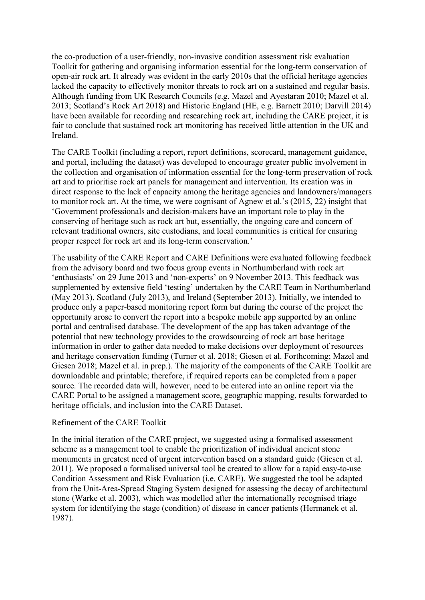the co-production of a user-friendly, non-invasive condition assessment risk evaluation Toolkit for gathering and organising information essential for the long-term conservation of open-air rock art. It already was evident in the early 2010s that the official heritage agencies lacked the capacity to effectively monitor threats to rock art on a sustained and regular basis. Although funding from UK Research Councils (e.g. Mazel and Ayestaran 2010; Mazel et al. 2013; Scotland's Rock Art 2018) and Historic England (HE, e.g. Barnett 2010; Darvill 2014) have been available for recording and researching rock art, including the CARE project, it is fair to conclude that sustained rock art monitoring has received little attention in the UK and Ireland.

The CARE Toolkit (including a report, report definitions, scorecard, management guidance, and portal, including the dataset) was developed to encourage greater public involvement in the collection and organisation of information essential for the long-term preservation of rock art and to prioritise rock art panels for management and intervention. Its creation was in direct response to the lack of capacity among the heritage agencies and landowners/managers to monitor rock art. At the time, we were cognisant of Agnew et al.'s (2015, 22) insight that 'Government professionals and decision-makers have an important role to play in the conserving of heritage such as rock art but, essentially, the ongoing care and concern of relevant traditional owners, site custodians, and local communities is critical for ensuring proper respect for rock art and its long-term conservation.'

The usability of the CARE Report and CARE Definitions were evaluated following feedback from the advisory board and two focus group events in Northumberland with rock art 'enthusiasts' on 29 June 2013 and 'non-experts' on 9 November 2013. This feedback was supplemented by extensive field 'testing' undertaken by the CARE Team in Northumberland (May 2013), Scotland (July 2013), and Ireland (September 2013). Initially, we intended to produce only a paper-based monitoring report form but during the course of the project the opportunity arose to convert the report into a bespoke mobile app supported by an online portal and centralised database. The development of the app has taken advantage of the potential that new technology provides to the crowdsourcing of rock art base heritage information in order to gather data needed to make decisions over deployment of resources and heritage conservation funding (Turner et al. 2018; Giesen et al. Forthcoming; Mazel and Giesen 2018; Mazel et al. in prep.). The majority of the components of the CARE Toolkit are downloadable and printable; therefore, if required reports can be completed from a paper source. The recorded data will, however, need to be entered into an online report via the CARE Portal to be assigned a management score, geographic mapping, results forwarded to heritage officials, and inclusion into the CARE Dataset.

#### Refinement of the CARE Toolkit

In the initial iteration of the CARE project, we suggested using a formalised assessment scheme as a management tool to enable the prioritization of individual ancient stone monuments in greatest need of urgent intervention based on a standard guide (Giesen et al. 2011). We proposed a formalised universal tool be created to allow for a rapid easy-to-use Condition Assessment and Risk Evaluation (i.e. CARE). We suggested the tool be adapted from the Unit-Area-Spread Staging System designed for assessing the decay of architectural stone (Warke et al. 2003), which was modelled after the internationally recognised triage system for identifying the stage (condition) of disease in cancer patients (Hermanek et al. 1987).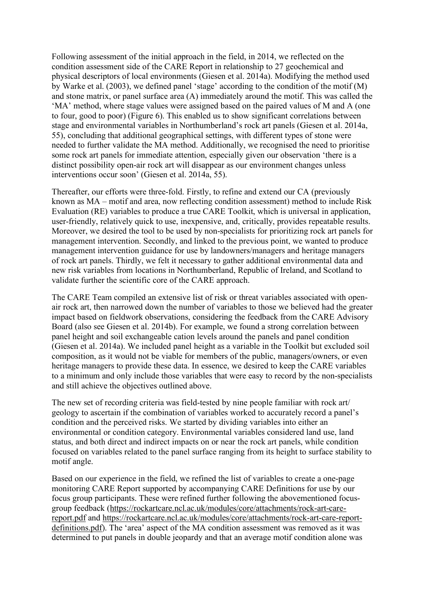Following assessment of the initial approach in the field, in 2014, we reflected on the condition assessment side of the CARE Report in relationship to 27 geochemical and physical descriptors of local environments (Giesen et al. 2014a). Modifying the method used by Warke et al. (2003), we defined panel 'stage' according to the condition of the motif (M) and stone matrix, or panel surface area (A) immediately around the motif. This was called the 'MA' method, where stage values were assigned based on the paired values of M and A (one to four, good to poor) (Figure 6). This enabled us to show significant correlations between stage and environmental variables in Northumberland's rock art panels (Giesen et al. 2014a, 55), concluding that additional geographical settings, with different types of stone were needed to further validate the MA method. Additionally, we recognised the need to prioritise some rock art panels for immediate attention, especially given our observation 'there is a distinct possibility open-air rock art will disappear as our environment changes unless interventions occur soon' (Giesen et al. 2014a, 55).

Thereafter, our efforts were three-fold. Firstly, to refine and extend our CA (previously known as MA – motif and area, now reflecting condition assessment) method to include Risk Evaluation (RE) variables to produce a true CARE Toolkit, which is universal in application, user-friendly, relatively quick to use, inexpensive, and, critically, provides repeatable results. Moreover, we desired the tool to be used by non-specialists for prioritizing rock art panels for management intervention. Secondly, and linked to the previous point, we wanted to produce management intervention guidance for use by landowners/managers and heritage managers of rock art panels. Thirdly, we felt it necessary to gather additional environmental data and new risk variables from locations in Northumberland, Republic of Ireland, and Scotland to validate further the scientific core of the CARE approach.

The CARE Team compiled an extensive list of risk or threat variables associated with openair rock art, then narrowed down the number of variables to those we believed had the greater impact based on fieldwork observations, considering the feedback from the CARE Advisory Board (also see Giesen et al. 2014b). For example, we found a strong correlation between panel height and soil exchangeable cation levels around the panels and panel condition (Giesen et al. 2014a). We included panel height as a variable in the Toolkit but excluded soil composition, as it would not be viable for members of the public, managers/owners, or even heritage managers to provide these data. In essence, we desired to keep the CARE variables to a minimum and only include those variables that were easy to record by the non-specialists and still achieve the objectives outlined above.

The new set of recording criteria was field-tested by nine people familiar with rock art/ geology to ascertain if the combination of variables worked to accurately record a panel's condition and the perceived risks. We started by dividing variables into either an environmental or condition category. Environmental variables considered land use, land status, and both direct and indirect impacts on or near the rock art panels, while condition focused on variables related to the panel surface ranging from its height to surface stability to motif angle.

Based on our experience in the field, we refined the list of variables to create a one-page monitoring CARE Report supported by accompanying CARE Definitions for use by our focus group participants. These were refined further following the abovementioned focusgroup feedback (https://rockartcare.ncl.ac.uk/modules/core/attachments/rock-art-carereport.pdf and https://rockartcare.ncl.ac.uk/modules/core/attachments/rock-art-care-reportdefinitions.pdf). The 'area' aspect of the MA condition assessment was removed as it was determined to put panels in double jeopardy and that an average motif condition alone was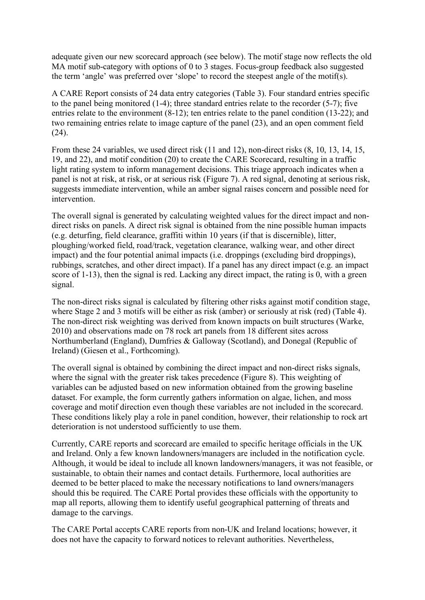adequate given our new scorecard approach (see below). The motif stage now reflects the old MA motif sub-category with options of 0 to 3 stages. Focus-group feedback also suggested the term 'angle' was preferred over 'slope' to record the steepest angle of the motif(s).

A CARE Report consists of 24 data entry categories (Table 3). Four standard entries specific to the panel being monitored (1-4); three standard entries relate to the recorder (5-7); five entries relate to the environment (8-12); ten entries relate to the panel condition (13-22); and two remaining entries relate to image capture of the panel (23), and an open comment field  $(24)$ .

From these 24 variables, we used direct risk (11 and 12), non-direct risks (8, 10, 13, 14, 15, 19, and 22), and motif condition (20) to create the CARE Scorecard, resulting in a traffic light rating system to inform management decisions. This triage approach indicates when a panel is not at risk, at risk, or at serious risk (Figure 7). A red signal, denoting at serious risk, suggests immediate intervention, while an amber signal raises concern and possible need for intervention.

The overall signal is generated by calculating weighted values for the direct impact and nondirect risks on panels. A direct risk signal is obtained from the nine possible human impacts (e.g. deturfing, field clearance, graffiti within 10 years (if that is discernible), litter, ploughing/worked field, road/track, vegetation clearance, walking wear, and other direct impact) and the four potential animal impacts (i.e. droppings (excluding bird droppings), rubbings, scratches, and other direct impact). If a panel has any direct impact (e.g. an impact score of 1-13), then the signal is red. Lacking any direct impact, the rating is 0, with a green signal.

The non-direct risks signal is calculated by filtering other risks against motif condition stage, where Stage 2 and 3 motifs will be either as risk (amber) or seriously at risk (red) (Table 4). The non-direct risk weighting was derived from known impacts on built structures (Warke, 2010) and observations made on 78 rock art panels from 18 different sites across Northumberland (England), Dumfries & Galloway (Scotland), and Donegal (Republic of Ireland) (Giesen et al., Forthcoming).

The overall signal is obtained by combining the direct impact and non-direct risks signals, where the signal with the greater risk takes precedence (Figure 8). This weighting of variables can be adjusted based on new information obtained from the growing baseline dataset. For example, the form currently gathers information on algae, lichen, and moss coverage and motif direction even though these variables are not included in the scorecard. These conditions likely play a role in panel condition, however, their relationship to rock art deterioration is not understood sufficiently to use them.

Currently, CARE reports and scorecard are emailed to specific heritage officials in the UK and Ireland. Only a few known landowners/managers are included in the notification cycle. Although, it would be ideal to include all known landowners/managers, it was not feasible, or sustainable, to obtain their names and contact details. Furthermore, local authorities are deemed to be better placed to make the necessary notifications to land owners/managers should this be required. The CARE Portal provides these officials with the opportunity to map all reports, allowing them to identify useful geographical patterning of threats and damage to the carvings.

The CARE Portal accepts CARE reports from non-UK and Ireland locations; however, it does not have the capacity to forward notices to relevant authorities. Nevertheless,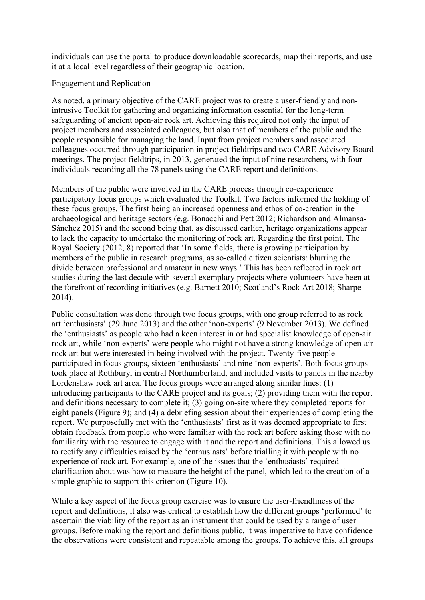individuals can use the portal to produce downloadable scorecards, map their reports, and use it at a local level regardless of their geographic location.

# Engagement and Replication

As noted, a primary objective of the CARE project was to create a user-friendly and nonintrusive Toolkit for gathering and organizing information essential for the long-term safeguarding of ancient open-air rock art. Achieving this required not only the input of project members and associated colleagues, but also that of members of the public and the people responsible for managing the land. Input from project members and associated colleagues occurred through participation in project fieldtrips and two CARE Advisory Board meetings. The project fieldtrips, in 2013, generated the input of nine researchers, with four individuals recording all the 78 panels using the CARE report and definitions.

Members of the public were involved in the CARE process through co-experience participatory focus groups which evaluated the Toolkit. Two factors informed the holding of these focus groups. The first being an increased openness and ethos of co-creation in the archaeological and heritage sectors (e.g. Bonacchi and Pett 2012; Richardson and Almansa-Sánchez 2015) and the second being that, as discussed earlier, heritage organizations appear to lack the capacity to undertake the monitoring of rock art. Regarding the first point, The Royal Society (2012, 8) reported that 'In some fields, there is growing participation by members of the public in research programs, as so-called citizen scientists: blurring the divide between professional and amateur in new ways.' This has been reflected in rock art studies during the last decade with several exemplary projects where volunteers have been at the forefront of recording initiatives (e.g. Barnett 2010; Scotland's Rock Art 2018; Sharpe 2014).

Public consultation was done through two focus groups, with one group referred to as rock art 'enthusiasts' (29 June 2013) and the other 'non-experts' (9 November 2013). We defined the 'enthusiasts' as people who had a keen interest in or had specialist knowledge of open-air rock art, while 'non-experts' were people who might not have a strong knowledge of open-air rock art but were interested in being involved with the project. Twenty-five people participated in focus groups, sixteen 'enthusiasts' and nine 'non-experts'. Both focus groups took place at Rothbury, in central Northumberland, and included visits to panels in the nearby Lordenshaw rock art area. The focus groups were arranged along similar lines: (1) introducing participants to the CARE project and its goals; (2) providing them with the report and definitions necessary to complete it; (3) going on-site where they completed reports for eight panels (Figure 9); and (4) a debriefing session about their experiences of completing the report. We purposefully met with the 'enthusiasts' first as it was deemed appropriate to first obtain feedback from people who were familiar with the rock art before asking those with no familiarity with the resource to engage with it and the report and definitions. This allowed us to rectify any difficulties raised by the 'enthusiasts' before trialling it with people with no experience of rock art. For example, one of the issues that the 'enthusiasts' required clarification about was how to measure the height of the panel, which led to the creation of a simple graphic to support this criterion (Figure 10).

While a key aspect of the focus group exercise was to ensure the user-friendliness of the report and definitions, it also was critical to establish how the different groups 'performed' to ascertain the viability of the report as an instrument that could be used by a range of user groups. Before making the report and definitions public, it was imperative to have confidence the observations were consistent and repeatable among the groups. To achieve this, all groups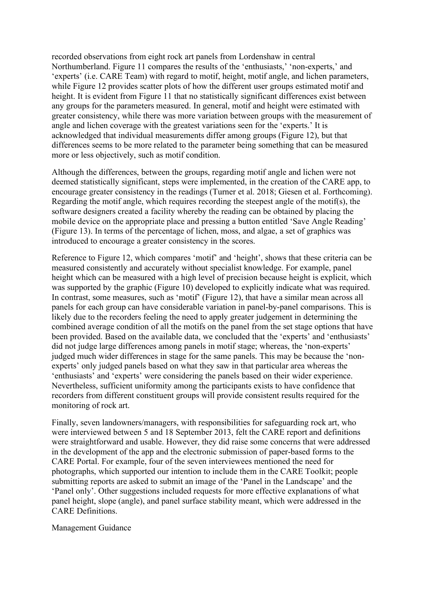recorded observations from eight rock art panels from Lordenshaw in central Northumberland. Figure 11 compares the results of the 'enthusiasts,' 'non-experts,' and 'experts' (i.e. CARE Team) with regard to motif, height, motif angle, and lichen parameters, while Figure 12 provides scatter plots of how the different user groups estimated motif and height. It is evident from Figure 11 that no statistically significant differences exist between any groups for the parameters measured. In general, motif and height were estimated with greater consistency, while there was more variation between groups with the measurement of angle and lichen coverage with the greatest variations seen for the 'experts.' It is acknowledged that individual measurements differ among groups (Figure 12), but that differences seems to be more related to the parameter being something that can be measured more or less objectively, such as motif condition.

Although the differences, between the groups, regarding motif angle and lichen were not deemed statistically significant, steps were implemented, in the creation of the CARE app, to encourage greater consistency in the readings (Turner et al. 2018; Giesen et al. Forthcoming). Regarding the motif angle, which requires recording the steepest angle of the motif(s), the software designers created a facility whereby the reading can be obtained by placing the mobile device on the appropriate place and pressing a button entitled 'Save Angle Reading' (Figure 13). In terms of the percentage of lichen, moss, and algae, a set of graphics was introduced to encourage a greater consistency in the scores.

Reference to Figure 12, which compares 'motif' and 'height', shows that these criteria can be measured consistently and accurately without specialist knowledge. For example, panel height which can be measured with a high level of precision because height is explicit, which was supported by the graphic (Figure 10) developed to explicitly indicate what was required. In contrast, some measures, such as 'motif' (Figure 12), that have a similar mean across all panels for each group can have considerable variation in panel-by-panel comparisons. This is likely due to the recorders feeling the need to apply greater judgement in determining the combined average condition of all the motifs on the panel from the set stage options that have been provided. Based on the available data, we concluded that the 'experts' and 'enthusiasts' did not judge large differences among panels in motif stage; whereas, the 'non-experts' judged much wider differences in stage for the same panels. This may be because the 'nonexperts' only judged panels based on what they saw in that particular area whereas the 'enthusiasts' and 'experts' were considering the panels based on their wider experience. Nevertheless, sufficient uniformity among the participants exists to have confidence that recorders from different constituent groups will provide consistent results required for the monitoring of rock art.

Finally, seven landowners/managers, with responsibilities for safeguarding rock art, who were interviewed between 5 and 18 September 2013, felt the CARE report and definitions were straightforward and usable. However, they did raise some concerns that were addressed in the development of the app and the electronic submission of paper-based forms to the CARE Portal. For example, four of the seven interviewees mentioned the need for photographs, which supported our intention to include them in the CARE Toolkit; people submitting reports are asked to submit an image of the 'Panel in the Landscape' and the 'Panel only'. Other suggestions included requests for more effective explanations of what panel height, slope (angle), and panel surface stability meant, which were addressed in the CARE Definitions.

#### Management Guidance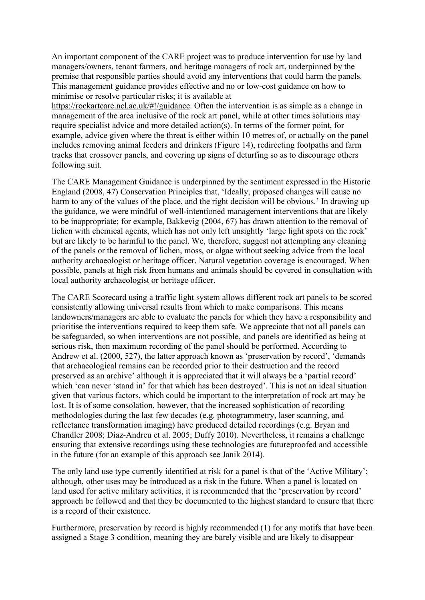An important component of the CARE project was to produce intervention for use by land managers/owners, tenant farmers, and heritage managers of rock art, underpinned by the premise that responsible parties should avoid any interventions that could harm the panels. This management guidance provides effective and no or low-cost guidance on how to minimise or resolve particular risks; it is available at

https://rockartcare.ncl.ac.uk/#!/guidance. Often the intervention is as simple as a change in management of the area inclusive of the rock art panel, while at other times solutions may require specialist advice and more detailed action(s). In terms of the former point, for example, advice given where the threat is either within 10 metres of, or actually on the panel includes removing animal feeders and drinkers (Figure 14), redirecting footpaths and farm tracks that crossover panels, and covering up signs of deturfing so as to discourage others following suit.

The CARE Management Guidance is underpinned by the sentiment expressed in the Historic England (2008, 47) Conservation Principles that, 'Ideally, proposed changes will cause no harm to any of the values of the place, and the right decision will be obvious.' In drawing up the guidance, we were mindful of well-intentioned management interventions that are likely to be inappropriate; for example, Bakkevig (2004, 67) has drawn attention to the removal of lichen with chemical agents, which has not only left unsightly 'large light spots on the rock' but are likely to be harmful to the panel. We, therefore, suggest not attempting any cleaning of the panels or the removal of lichen, moss, or algae without seeking advice from the local authority archaeologist or heritage officer. Natural vegetation coverage is encouraged. When possible, panels at high risk from humans and animals should be covered in consultation with local authority archaeologist or heritage officer.

The CARE Scorecard using a traffic light system allows different rock art panels to be scored consistently allowing universal results from which to make comparisons. This means landowners/managers are able to evaluate the panels for which they have a responsibility and prioritise the interventions required to keep them safe. We appreciate that not all panels can be safeguarded, so when interventions are not possible, and panels are identified as being at serious risk, then maximum recording of the panel should be performed. According to Andrew et al. (2000, 527), the latter approach known as 'preservation by record', 'demands that archaeological remains can be recorded prior to their destruction and the record preserved as an archive' although it is appreciated that it will always be a 'partial record' which 'can never 'stand in' for that which has been destroyed'. This is not an ideal situation given that various factors, which could be important to the interpretation of rock art may be lost. It is of some consolation, however, that the increased sophistication of recording methodologies during the last few decades (e.g. photogrammetry, laser scanning, and reflectance transformation imaging) have produced detailed recordings (e.g. Bryan and Chandler 2008; Díaz-Andreu et al. 2005; Duffy 2010). Nevertheless, it remains a challenge ensuring that extensive recordings using these technologies are futureproofed and accessible in the future (for an example of this approach see Janik 2014).

The only land use type currently identified at risk for a panel is that of the 'Active Military'; although, other uses may be introduced as a risk in the future. When a panel is located on land used for active military activities, it is recommended that the 'preservation by record' approach be followed and that they be documented to the highest standard to ensure that there is a record of their existence.

Furthermore, preservation by record is highly recommended (1) for any motifs that have been assigned a Stage 3 condition, meaning they are barely visible and are likely to disappear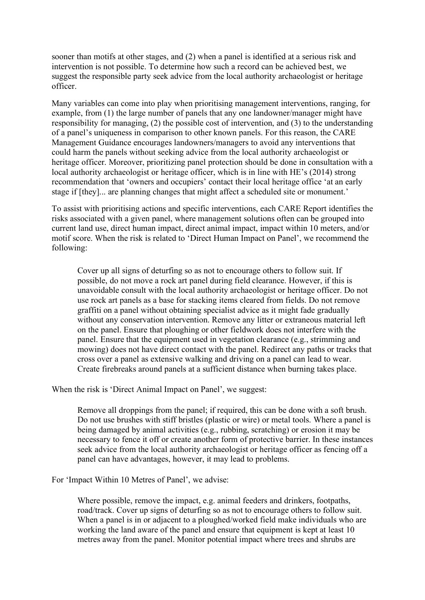sooner than motifs at other stages, and (2) when a panel is identified at a serious risk and intervention is not possible. To determine how such a record can be achieved best, we suggest the responsible party seek advice from the local authority archaeologist or heritage officer.

Many variables can come into play when prioritising management interventions, ranging, for example, from (1) the large number of panels that any one landowner/manager might have responsibility for managing, (2) the possible cost of intervention, and (3) to the understanding of a panel's uniqueness in comparison to other known panels. For this reason, the CARE Management Guidance encourages landowners/managers to avoid any interventions that could harm the panels without seeking advice from the local authority archaeologist or heritage officer. Moreover, prioritizing panel protection should be done in consultation with a local authority archaeologist or heritage officer, which is in line with HE's (2014) strong recommendation that 'owners and occupiers' contact their local heritage office 'at an early stage if [they]... are planning changes that might affect a scheduled site or monument.'

To assist with prioritising actions and specific interventions, each CARE Report identifies the risks associated with a given panel, where management solutions often can be grouped into current land use, direct human impact, direct animal impact, impact within 10 meters, and/or motif score. When the risk is related to 'Direct Human Impact on Panel', we recommend the following:

Cover up all signs of deturfing so as not to encourage others to follow suit. If possible, do not move a rock art panel during field clearance. However, if this is unavoidable consult with the local authority archaeologist or heritage officer. Do not use rock art panels as a base for stacking items cleared from fields. Do not remove graffiti on a panel without obtaining specialist advice as it might fade gradually without any conservation intervention. Remove any litter or extraneous material left on the panel. Ensure that ploughing or other fieldwork does not interfere with the panel. Ensure that the equipment used in vegetation clearance (e.g., strimming and mowing) does not have direct contact with the panel. Redirect any paths or tracks that cross over a panel as extensive walking and driving on a panel can lead to wear. Create firebreaks around panels at a sufficient distance when burning takes place.

When the risk is 'Direct Animal Impact on Panel', we suggest:

Remove all droppings from the panel; if required, this can be done with a soft brush. Do not use brushes with stiff bristles (plastic or wire) or metal tools. Where a panel is being damaged by animal activities (e.g., rubbing, scratching) or erosion it may be necessary to fence it off or create another form of protective barrier. In these instances seek advice from the local authority archaeologist or heritage officer as fencing off a panel can have advantages, however, it may lead to problems.

For 'Impact Within 10 Metres of Panel', we advise:

Where possible, remove the impact, e.g. animal feeders and drinkers, footpaths, road/track. Cover up signs of deturfing so as not to encourage others to follow suit. When a panel is in or adjacent to a ploughed/worked field make individuals who are working the land aware of the panel and ensure that equipment is kept at least 10 metres away from the panel. Monitor potential impact where trees and shrubs are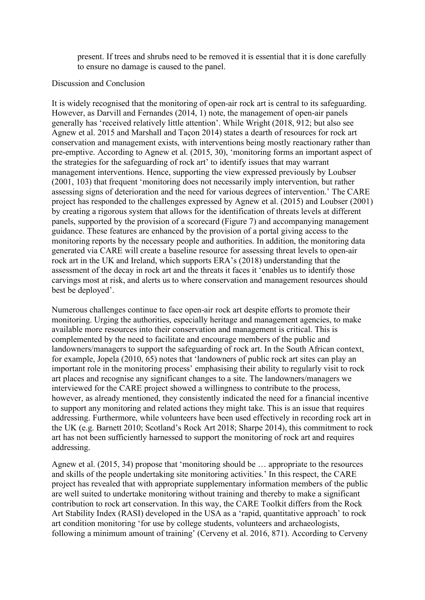present. If trees and shrubs need to be removed it is essential that it is done carefully to ensure no damage is caused to the panel.

# Discussion and Conclusion

It is widely recognised that the monitoring of open-air rock art is central to its safeguarding. However, as Darvill and Fernandes (2014, 1) note, the management of open-air panels generally has 'received relatively little attention'. While Wright (2018, 912; but also see Agnew et al. 2015 and Marshall and Taçon 2014) states a dearth of resources for rock art conservation and management exists, with interventions being mostly reactionary rather than pre-emptive. According to Agnew et al. (2015, 30), 'monitoring forms an important aspect of the strategies for the safeguarding of rock art' to identify issues that may warrant management interventions. Hence, supporting the view expressed previously by Loubser (2001, 103) that frequent 'monitoring does not necessarily imply intervention, but rather assessing signs of deterioration and the need for various degrees of intervention.' The CARE project has responded to the challenges expressed by Agnew et al. (2015) and Loubser (2001) by creating a rigorous system that allows for the identification of threats levels at different panels, supported by the provision of a scorecard (Figure 7) and accompanying management guidance. These features are enhanced by the provision of a portal giving access to the monitoring reports by the necessary people and authorities. In addition, the monitoring data generated via CARE will create a baseline resource for assessing threat levels to open-air rock art in the UK and Ireland, which supports ERA's (2018) understanding that the assessment of the decay in rock art and the threats it faces it 'enables us to identify those carvings most at risk, and alerts us to where conservation and management resources should best be deployed'.

Numerous challenges continue to face open-air rock art despite efforts to promote their monitoring. Urging the authorities, especially heritage and management agencies, to make available more resources into their conservation and management is critical. This is complemented by the need to facilitate and encourage members of the public and landowners/managers to support the safeguarding of rock art. In the South African context, for example, Jopela (2010, 65) notes that 'landowners of public rock art sites can play an important role in the monitoring process' emphasising their ability to regularly visit to rock art places and recognise any significant changes to a site. The landowners/managers we interviewed for the CARE project showed a willingness to contribute to the process, however, as already mentioned, they consistently indicated the need for a financial incentive to support any monitoring and related actions they might take. This is an issue that requires addressing. Furthermore, while volunteers have been used effectively in recording rock art in the UK (e.g. Barnett 2010; Scotland's Rock Art 2018; Sharpe 2014), this commitment to rock art has not been sufficiently harnessed to support the monitoring of rock art and requires addressing.

Agnew et al. (2015, 34) propose that 'monitoring should be … appropriate to the resources and skills of the people undertaking site monitoring activities.' In this respect, the CARE project has revealed that with appropriate supplementary information members of the public are well suited to undertake monitoring without training and thereby to make a significant contribution to rock art conservation. In this way, the CARE Toolkit differs from the Rock Art Stability Index (RASI) developed in the USA as a 'rapid, quantitative approach' to rock art condition monitoring 'for use by college students, volunteers and archaeologists, following a minimum amount of training' (Cerveny et al. 2016, 871). According to Cerveny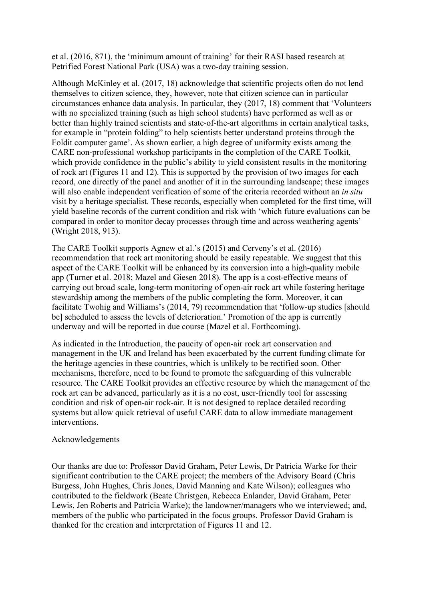et al. (2016, 871), the 'minimum amount of training' for their RASI based research at Petrified Forest National Park (USA) was a two-day training session.

Although McKinley et al. (2017, 18) acknowledge that scientific projects often do not lend themselves to citizen science, they, however, note that citizen science can in particular circumstances enhance data analysis. In particular, they (2017, 18) comment that 'Volunteers with no specialized training (such as high school students) have performed as well as or better than highly trained scientists and state-of-the-art algorithms in certain analytical tasks, for example in "protein folding" to help scientists better understand proteins through the Foldit computer game'. As shown earlier, a high degree of uniformity exists among the CARE non-professional workshop participants in the completion of the CARE Toolkit, which provide confidence in the public's ability to yield consistent results in the monitoring of rock art (Figures 11 and 12). This is supported by the provision of two images for each record, one directly of the panel and another of it in the surrounding landscape; these images will also enable independent verification of some of the criteria recorded without an *in situ* visit by a heritage specialist. These records, especially when completed for the first time, will yield baseline records of the current condition and risk with 'which future evaluations can be compared in order to monitor decay processes through time and across weathering agents' (Wright 2018, 913).

The CARE Toolkit supports Agnew et al.'s (2015) and Cerveny's et al. (2016) recommendation that rock art monitoring should be easily repeatable. We suggest that this aspect of the CARE Toolkit will be enhanced by its conversion into a high-quality mobile app (Turner et al. 2018; Mazel and Giesen 2018). The app is a cost-effective means of carrying out broad scale, long-term monitoring of open-air rock art while fostering heritage stewardship among the members of the public completing the form. Moreover, it can facilitate Twohig and Williams's (2014, 79) recommendation that 'follow-up studies [should be] scheduled to assess the levels of deterioration.' Promotion of the app is currently underway and will be reported in due course (Mazel et al. Forthcoming).

As indicated in the Introduction, the paucity of open-air rock art conservation and management in the UK and Ireland has been exacerbated by the current funding climate for the heritage agencies in these countries, which is unlikely to be rectified soon. Other mechanisms, therefore, need to be found to promote the safeguarding of this vulnerable resource. The CARE Toolkit provides an effective resource by which the management of the rock art can be advanced, particularly as it is a no cost, user-friendly tool for assessing condition and risk of open-air rock-air. It is not designed to replace detailed recording systems but allow quick retrieval of useful CARE data to allow immediate management interventions.

# Acknowledgements

Our thanks are due to: Professor David Graham, Peter Lewis, Dr Patricia Warke for their significant contribution to the CARE project; the members of the Advisory Board (Chris Burgess, John Hughes, Chris Jones, David Manning and Kate Wilson); colleagues who contributed to the fieldwork (Beate Christgen, Rebecca Enlander, David Graham, Peter Lewis, Jen Roberts and Patricia Warke); the landowner/managers who we interviewed; and, members of the public who participated in the focus groups. Professor David Graham is thanked for the creation and interpretation of Figures 11 and 12.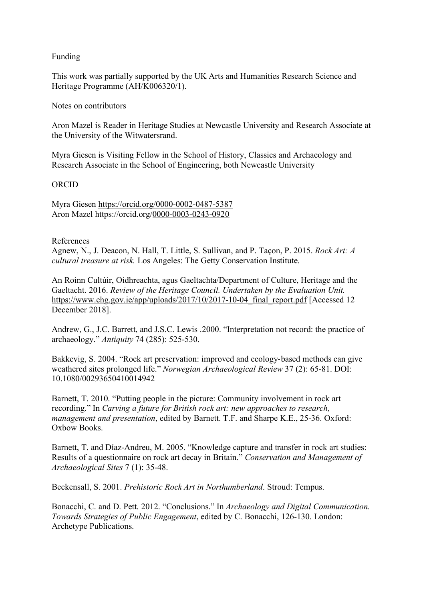# Funding

This work was partially supported by the UK Arts and Humanities Research Science and Heritage Programme (AH/K006320/1).

Notes on contributors

Aron Mazel is Reader in Heritage Studies at Newcastle University and Research Associate at the University of the Witwatersrand.

Myra Giesen is Visiting Fellow in the School of History, Classics and Archaeology and Research Associate in the School of Engineering, both Newcastle University

# ORCID

Myra Giesen https://orcid.org/0000-0002-0487-5387 Aron Mazel https://orcid.org/0000-0003-0243-0920

# References

Agnew, N., J. Deacon, N. Hall, T. Little, S. Sullivan, and P. Taçon, P. 2015. *Rock Art: A cultural treasure at risk.* Los Angeles: The Getty Conservation Institute.

An Roinn Cultúir, Oidhreachta, agus Gaeltachta/Department of Culture, Heritage and the Gaeltacht. 2016. *Review of the Heritage Council. Undertaken by the Evaluation Unit.* https://www.chg.gov.ie/app/uploads/2017/10/2017-10-04 final report.pdf [Accessed 12 December 2018].

Andrew, G., J.C. Barrett, and J.S.C. Lewis .2000. "Interpretation not record: the practice of archaeology." *Antiquity* 74 (285): 525-530.

Bakkevig, S. 2004. "Rock art preservation: improved and ecology-based methods can give weathered sites prolonged life." *Norwegian Archaeological Review* 37 (2): 65-81. DOI: 10.1080/00293650410014942

Barnett, T. 2010. "Putting people in the picture: Community involvement in rock art recording." In *Carving a future for British rock art: new approaches to research, management and presentation*, edited by Barnett. T.F. and Sharpe K.E., 25-36. Oxford: Oxbow Books.

Barnett, T. and Díaz-Andreu, M. 2005. "Knowledge capture and transfer in rock art studies: Results of a questionnaire on rock art decay in Britain." *Conservation and Management of Archaeological Sites* 7 (1): 35-48.

Beckensall, S. 2001. *Prehistoric Rock Art in Northumberland*. Stroud: Tempus.

Bonacchi, C. and D. Pett. 2012. "Conclusions." In *Archaeology and Digital Communication. Towards Strategies of Public Engagement*, edited by C. Bonacchi, 126-130. London: Archetype Publications.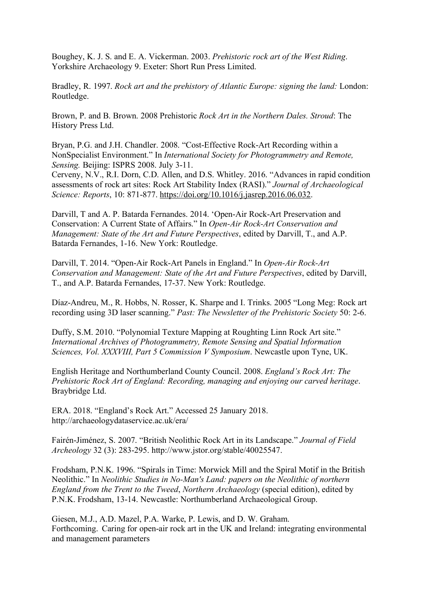Boughey, K. J. S. and E. A. Vickerman. 2003. *Prehistoric rock art of the West Riding*. Yorkshire Archaeology 9. Exeter: Short Run Press Limited.

Bradley, R. 1997. *Rock art and the prehistory of Atlantic Europe: signing the land:* London: Routledge.

Brown, P. and B. Brown. 2008 Prehistoric *Rock Art in the Northern Dales. Stroud*: The History Press Ltd.

Bryan, P.G. and J.H. Chandler. 2008. "Cost-Effective Rock-Art Recording within a NonSpecialist Environment." In *International Society for Photogrammetry and Remote, Sensing.* Beijing: ISPRS 2008. July 3-11.

Cerveny, N.V., R.I. Dorn, C.D. Allen, and D.S. Whitley. 2016. "Advances in rapid condition assessments of rock art sites: Rock Art Stability Index (RASI)." *Journal of Archaeological Science: Reports*, 10: 871-877. https://doi.org/10.1016/j.jasrep.2016.06.032.

Darvill, T and A. P. Batarda Fernandes. 2014. 'Open-Air Rock-Art Preservation and Conservation: A Current State of Affairs." In *Open-Air Rock-Art Conservation and Management: State of the Art and Future Perspectives*, edited by Darvill, T., and A.P. Batarda Fernandes, 1-16. New York: Routledge.

Darvill, T. 2014. "Open-Air Rock-Art Panels in England." In *Open-Air Rock-Art Conservation and Management: State of the Art and Future Perspectives*, edited by Darvill, T., and A.P. Batarda Fernandes, 17-37. New York: Routledge.

Díaz-Andreu, M., R. Hobbs, N. Rosser, K. Sharpe and I. Trinks. 2005 "Long Meg: Rock art recording using 3D laser scanning." *Past: The Newsletter of the Prehistoric Society* 50: 2-6.

Duffy, S.M. 2010. "Polynomial Texture Mapping at Roughting Linn Rock Art site." *International Archives of Photogrammetry, Remote Sensing and Spatial Information Sciences, Vol. XXXVIII, Part 5 Commission V Symposium*. Newcastle upon Tyne, UK.

English Heritage and Northumberland County Council. 2008. *England's Rock Art: The Prehistoric Rock Art of England: Recording, managing and enjoying our carved heritage*. Braybridge Ltd.

ERA. 2018. "England's Rock Art." Accessed 25 January 2018. http://archaeologydataservice.ac.uk/era/

Fairén-Jiménez, S. 2007. "British Neolithic Rock Art in its Landscape." *Journal of Field Archeology* 32 (3): 283-295. http://www.jstor.org/stable/40025547.

Frodsham, P.N.K. 1996. "Spirals in Time: Morwick Mill and the Spiral Motif in the British Neolithic." In *Neolithic Studies in No-Man's Land: papers on the Neolithic of northern England from the Trent to the Tweed*, *Northern Archaeology* (special edition), edited by P.N.K. Frodsham, 13-14. Newcastle: Northumberland Archaeological Group.

Giesen, M.J., A.D. Mazel, P.A. Warke, P. Lewis, and D. W. Graham. Forthcoming. Caring for open-air rock art in the UK and Ireland: integrating environmental and management parameters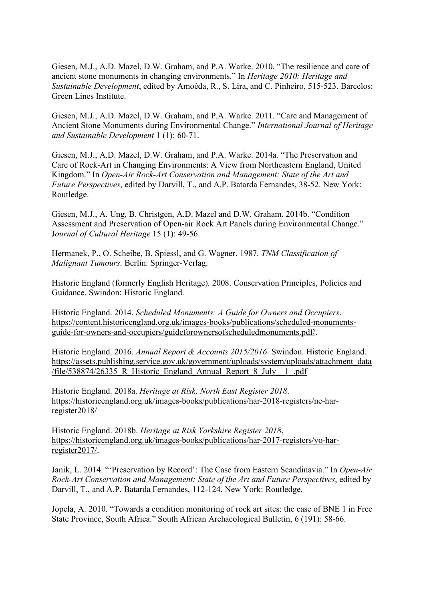Giesen, M.J., A.D. Mazel, D.W. Graham, and P.A. Warke. 2010. "The resilience and care of ancient stone monuments in changing environments." In *Heritage 2010: Heritage and Sustainable Development*, edited by Amoêda, R., S. Lira, and C. Pinheiro, 515-523. Barcelos: Green Lines Institute.

Giesen, M.J., A.D. Mazel, D.W. Graham, and P.A. Warke. 2011. "Care and Management of Ancient Stone Monuments during Environmental Change." *International Journal of Heritage and Sustainable Development* 1 (1): 60-71.

Giesen, M.J., A.D. Mazel, D.W. Graham, and P.A. Warke. 2014a. "The Preservation and Care of Rock-Art in Changing Environments: A View from Northeastern England, United Kingdom." In *Open-Air Rock-Art Conservation and Management: State of the Art and Future Perspectives*, edited by Darvill, T., and A.P. Batarda Fernandes, 38-52. New York: Routledge.

Giesen, M.J., A. Ung, B. Christgen, A.D. Mazel and D.W. Graham. 2014b. "Condition Assessment and Preservation of Open-air Rock Art Panels during Environmental Change." J*ournal of Cultural Heritage* 15 (1): 49-56.

Hermanek, P., O. Scheibe, B. Spiessl, and G. Wagner. 1987. *TNM Classification of Malignant Tumours*. Berlin: Springer-Verlag.

Historic England (formerly English Heritage). 2008. Conservation Principles, Policies and Guidance. Swindon: Historic England.

Historic England. 2014. *Scheduled Monuments: A Guide for Owners and Occupiers*. https://content.historicengland.org.uk/images-books/publications/scheduled-monumentsguide-for-owners-and-occupiers/guideforownersofscheduledmonuments.pdf/.

Historic England. 2016. *Annual Report & Accounts 2015/2016*. Swindon. Historic England. https://assets.publishing.service.gov.uk/government/uploads/system/uploads/attachment\_data /file/538874/26335 R\_Historic\_England\_Annual\_Report\_8\_July\_1\_.pdf

Historic England. 2018a. *Heritage at Risk, North East Register 2018*. https://historicengland.org.uk/images-books/publications/har-2018-registers/ne-harregister2018/

Historic England. 2018b. *Heritage at Risk Yorkshire Register 2018*, https://historicengland.org.uk/images-books/publications/har-2017-registers/yo-harregister2017/.

Janik, L. 2014. "'Preservation by Record': The Case from Eastern Scandinavia." In *Open-Air Rock-Art Conservation and Management: State of the Art and Future Perspectives*, edited by Darvill, T., and A.P. Batarda Fernandes, 112-124. New York: Routledge.

Jopela, A. 2010. "Towards a condition monitoring of rock art sites: the case of BNE 1 in Free State Province, South Africa." South African Archaeological Bulletin, 6 (191): 58-66.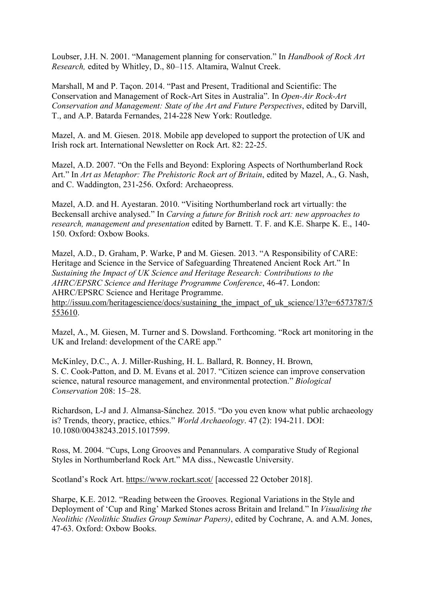Loubser, J.H. N. 2001. "Management planning for conservation." In *Handbook of Rock Art Research,* edited by Whitley, D., 80–115. Altamira, Walnut Creek.

Marshall, M and P. Taçon. 2014. "Past and Present, Traditional and Scientific: The Conservation and Management of Rock-Art Sites in Australia". In *Open-Air Rock-Art Conservation and Management: State of the Art and Future Perspectives*, edited by Darvill, T., and A.P. Batarda Fernandes, 214-228 New York: Routledge.

Mazel, A. and M. Giesen. 2018. Mobile app developed to support the protection of UK and Irish rock art. International Newsletter on Rock Art. 82: 22-25.

Mazel, A.D. 2007. "On the Fells and Beyond: Exploring Aspects of Northumberland Rock Art." In *Art as Metaphor: The Prehistoric Rock art of Britain*, edited by Mazel, A., G. Nash, and C. Waddington, 231-256. Oxford: Archaeopress.

Mazel, A.D. and H. Ayestaran. 2010. "Visiting Northumberland rock art virtually: the Beckensall archive analysed." In *Carving a future for British rock art: new approaches to research, management and presentation* edited by Barnett. T. F. and K.E. Sharpe K. E., 140- 150. Oxford: Oxbow Books.

Mazel, A.D., D. Graham, P. Warke, P and M. Giesen. 2013. "A Responsibility of CARE: Heritage and Science in the Service of Safeguarding Threatened Ancient Rock Art." In *Sustaining the Impact of UK Science and Heritage Research: Contributions to the AHRC/EPSRC Science and Heritage Programme Conference*, 46-47. London: AHRC/EPSRC Science and Heritage Programme. http://issuu.com/heritagescience/docs/sustaining the impact of uk science/13?e=6573787/5 553610.

Mazel, A., M. Giesen, M. Turner and S. Dowsland. Forthcoming. "Rock art monitoring in the UK and Ireland: development of the CARE app."

McKinley, D.C., A. J. Miller-Rushing, H. L. Ballard, R. Bonney, H. Brown, S. C. Cook-Patton, and D. M. Evans et al. 2017. "Citizen science can improve conservation science, natural resource management, and environmental protection." *Biological Conservation* 208: 15–28.

Richardson, L-J and J. Almansa-Sánchez. 2015. "Do you even know what public archaeology is? Trends, theory, practice, ethics." *World Archaeology*. 47 (2): 194-211. DOI: 10.1080/00438243.2015.1017599.

Ross, M. 2004. "Cups, Long Grooves and Penannulars. A comparative Study of Regional Styles in Northumberland Rock Art." MA diss., Newcastle University.

Scotland's Rock Art. https://www.rockart.scot/ [accessed 22 October 2018].

Sharpe, K.E. 2012. "Reading between the Grooves. Regional Variations in the Style and Deployment of 'Cup and Ring' Marked Stones across Britain and Ireland." In *Visualising the Neolithic (Neolithic Studies Group Seminar Papers)*, edited by Cochrane, A. and A.M. Jones, 47-63. Oxford: Oxbow Books.